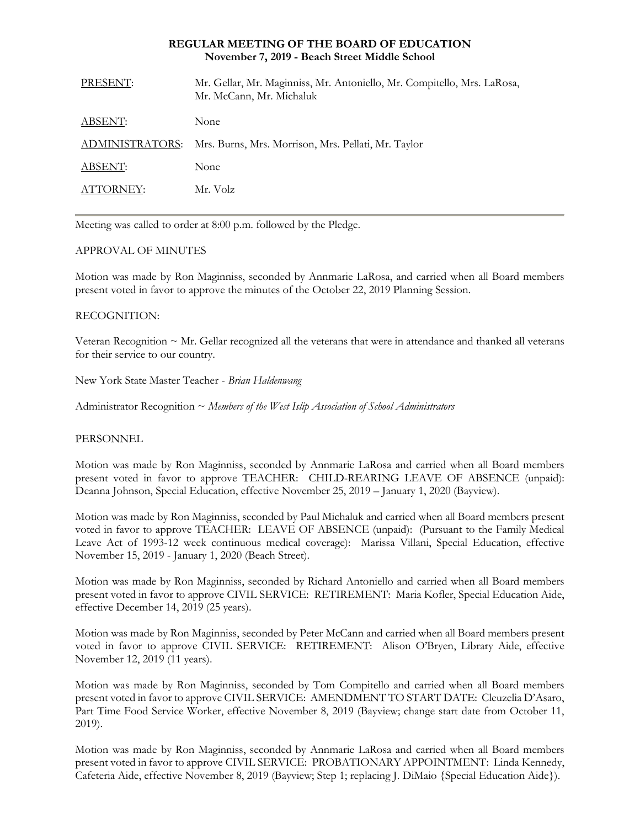#### **REGULAR MEETING OF THE BOARD OF EDUCATION November 7, 2019 - Beach Street Middle School**

| PRESENT:        | Mr. Gellar, Mr. Maginniss, Mr. Antoniello, Mr. Compitello, Mrs. LaRosa,<br>Mr. McCann, Mr. Michaluk |
|-----------------|-----------------------------------------------------------------------------------------------------|
| ABSENT:         | None                                                                                                |
| ADMINISTRATORS: | Mrs. Burns, Mrs. Morrison, Mrs. Pellati, Mr. Taylor                                                 |
| ABSENT:         | None                                                                                                |
| ATTORNEY:       | Mr. Volz                                                                                            |
|                 |                                                                                                     |

Meeting was called to order at 8:00 p.m. followed by the Pledge.

## APPROVAL OF MINUTES

Motion was made by Ron Maginniss, seconded by Annmarie LaRosa, and carried when all Board members present voted in favor to approve the minutes of the October 22, 2019 Planning Session.

#### RECOGNITION:

Veteran Recognition ~ Mr. Gellar recognized all the veterans that were in attendance and thanked all veterans for their service to our country.

New York State Master Teacher - *Brian Haldenwang*

Administrator Recognition ~ *Members of the West Islip Association of School Administrators*

#### PERSONNEL

Motion was made by Ron Maginniss, seconded by Annmarie LaRosa and carried when all Board members present voted in favor to approve TEACHER:CHILD-REARING LEAVE OF ABSENCE (unpaid): Deanna Johnson, Special Education, effective November 25, 2019 – January 1, 2020 (Bayview).

Motion was made by Ron Maginniss, seconded by Paul Michaluk and carried when all Board members present voted in favor to approve TEACHER: LEAVE OF ABSENCE (unpaid): (Pursuant to the Family Medical Leave Act of 1993-12 week continuous medical coverage): Marissa Villani, Special Education, effective November 15, 2019 - January 1, 2020 (Beach Street).

Motion was made by Ron Maginniss, seconded by Richard Antoniello and carried when all Board members present voted in favor to approve CIVIL SERVICE:RETIREMENT: Maria Kofler, Special Education Aide, effective December 14, 2019 (25 years).

Motion was made by Ron Maginniss, seconded by Peter McCann and carried when all Board members present voted in favor to approve CIVIL SERVICE:RETIREMENT: Alison O'Bryen, Library Aide, effective November 12, 2019 (11 years).

Motion was made by Ron Maginniss, seconded by Tom Compitello and carried when all Board members present voted in favor to approve CIVIL SERVICE:AMENDMENT TO START DATE: Cleuzelia D'Asaro, Part Time Food Service Worker, effective November 8, 2019 (Bayview; change start date from October 11, 2019).

Motion was made by Ron Maginniss, seconded by Annmarie LaRosa and carried when all Board members present voted in favor to approve CIVIL SERVICE:PROBATIONARY APPOINTMENT: Linda Kennedy, Cafeteria Aide, effective November 8, 2019 (Bayview; Step 1; replacing J. DiMaio {Special Education Aide}).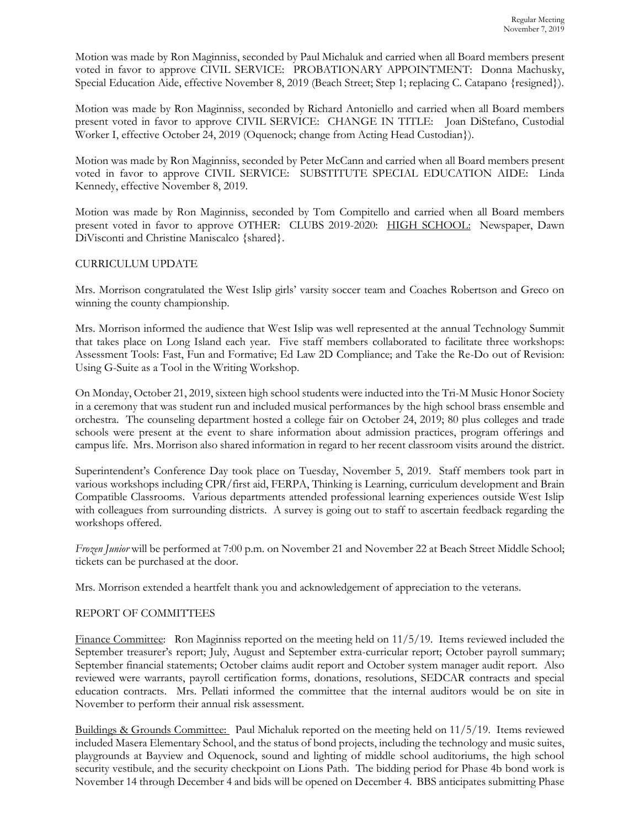Motion was made by Ron Maginniss, seconded by Paul Michaluk and carried when all Board members present voted in favor to approve CIVIL SERVICE:PROBATIONARY APPOINTMENT: Donna Machusky, Special Education Aide, effective November 8, 2019 (Beach Street; Step 1; replacing C. Catapano {resigned}).

Motion was made by Ron Maginniss, seconded by Richard Antoniello and carried when all Board members present voted in favor to approve CIVIL SERVICE:CHANGE IN TITLE:Joan DiStefano, Custodial Worker I, effective October 24, 2019 (Oquenock; change from Acting Head Custodian}).

Motion was made by Ron Maginniss, seconded by Peter McCann and carried when all Board members present voted in favor to approve CIVIL SERVICE:SUBSTITUTE SPECIAL EDUCATION AIDE: Linda Kennedy, effective November 8, 2019.

Motion was made by Ron Maginniss, seconded by Tom Compitello and carried when all Board members present voted in favor to approve OTHER: CLUBS 2019-2020: HIGH SCHOOL: Newspaper, Dawn DiVisconti and Christine Maniscalco {shared}.

# CURRICULUM UPDATE

Mrs. Morrison congratulated the West Islip girls' varsity soccer team and Coaches Robertson and Greco on winning the county championship.

Mrs. Morrison informed the audience that West Islip was well represented at the annual Technology Summit that takes place on Long Island each year. Five staff members collaborated to facilitate three workshops: Assessment Tools: Fast, Fun and Formative; Ed Law 2D Compliance; and Take the Re-Do out of Revision: Using G-Suite as a Tool in the Writing Workshop.

On Monday, October 21, 2019, sixteen high school students were inducted into the Tri-M Music Honor Society in a ceremony that was student run and included musical performances by the high school brass ensemble and orchestra. The counseling department hosted a college fair on October 24, 2019; 80 plus colleges and trade schools were present at the event to share information about admission practices, program offerings and campus life. Mrs. Morrison also shared information in regard to her recent classroom visits around the district.

Superintendent's Conference Day took place on Tuesday, November 5, 2019. Staff members took part in various workshops including CPR/first aid, FERPA, Thinking is Learning, curriculum development and Brain Compatible Classrooms. Various departments attended professional learning experiences outside West Islip with colleagues from surrounding districts. A survey is going out to staff to ascertain feedback regarding the workshops offered.

*Frozen Junior* will be performed at 7:00 p.m. on November 21 and November 22 at Beach Street Middle School; tickets can be purchased at the door.

Mrs. Morrison extended a heartfelt thank you and acknowledgement of appreciation to the veterans.

# REPORT OF COMMITTEES

Finance Committee: Ron Maginniss reported on the meeting held on 11/5/19. Items reviewed included the September treasurer's report; July, August and September extra-curricular report; October payroll summary; September financial statements; October claims audit report and October system manager audit report. Also reviewed were warrants, payroll certification forms, donations, resolutions, SEDCAR contracts and special education contracts. Mrs. Pellati informed the committee that the internal auditors would be on site in November to perform their annual risk assessment.

Buildings & Grounds Committee: Paul Michaluk reported on the meeting held on 11/5/19. Items reviewed included Masera Elementary School, and the status of bond projects, including the technology and music suites, playgrounds at Bayview and Oquenock, sound and lighting of middle school auditoriums, the high school security vestibule, and the security checkpoint on Lions Path. The bidding period for Phase 4b bond work is November 14 through December 4 and bids will be opened on December 4. BBS anticipates submitting Phase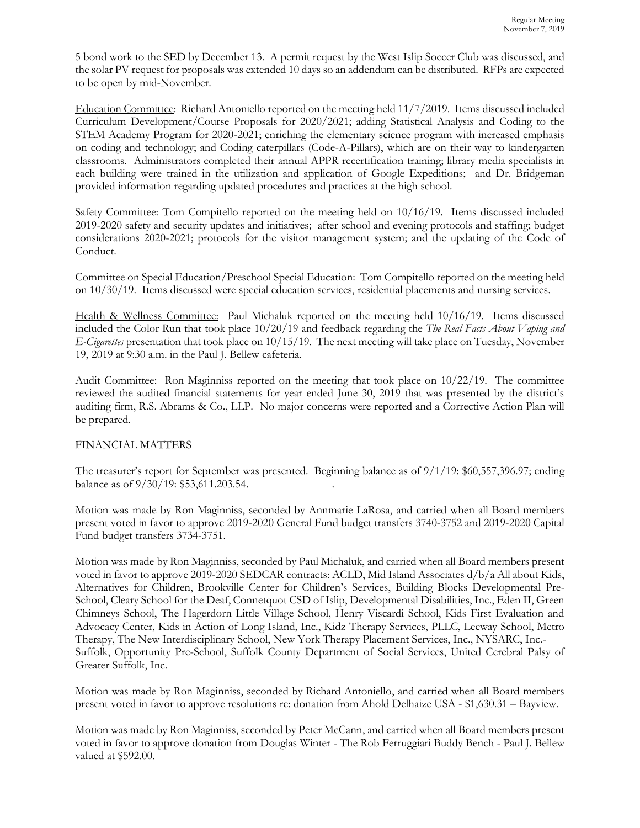5 bond work to the SED by December 13. A permit request by the West Islip Soccer Club was discussed, and the solar PV request for proposals was extended 10 days so an addendum can be distributed. RFPs are expected to be open by mid-November.

Education Committee: Richard Antoniello reported on the meeting held 11/7/2019. Items discussed included Curriculum Development/Course Proposals for 2020/2021; adding Statistical Analysis and Coding to the STEM Academy Program for 2020-2021; enriching the elementary science program with increased emphasis on coding and technology; and Coding caterpillars (Code-A-Pillars), which are on their way to kindergarten classrooms. Administrators completed their annual APPR recertification training; library media specialists in each building were trained in the utilization and application of Google Expeditions; and Dr. Bridgeman provided information regarding updated procedures and practices at the high school.

Safety Committee: Tom Compitello reported on the meeting held on 10/16/19. Items discussed included 2019-2020 safety and security updates and initiatives; after school and evening protocols and staffing; budget considerations 2020-2021; protocols for the visitor management system; and the updating of the Code of Conduct.

Committee on Special Education/Preschool Special Education: Tom Compitello reported on the meeting held on 10/30/19. Items discussed were special education services, residential placements and nursing services.

Health & Wellness Committee: Paul Michaluk reported on the meeting held 10/16/19. Items discussed included the Color Run that took place 10/20/19 and feedback regarding the *The Real Facts About Vaping and E-Cigarettes* presentation that took place on 10/15/19. The next meeting will take place on Tuesday, November 19, 2019 at 9:30 a.m. in the Paul J. Bellew cafeteria.

Audit Committee: Ron Maginniss reported on the meeting that took place on 10/22/19. The committee reviewed the audited financial statements for year ended June 30, 2019 that was presented by the district's auditing firm, R.S. Abrams & Co., LLP. No major concerns were reported and a Corrective Action Plan will be prepared.

# FINANCIAL MATTERS

The treasurer's report for September was presented. Beginning balance as of 9/1/19: \$60,557,396.97; ending balance as of 9/30/19: \$53,611.203.54. .

Motion was made by Ron Maginniss, seconded by Annmarie LaRosa, and carried when all Board members present voted in favor to approve 2019-2020 General Fund budget transfers 3740-3752 and 2019-2020 Capital Fund budget transfers 3734-3751.

Motion was made by Ron Maginniss, seconded by Paul Michaluk, and carried when all Board members present voted in favor to approve 2019-2020 SEDCAR contracts: ACLD, Mid Island Associates d/b/a All about Kids, Alternatives for Children, Brookville Center for Children's Services, Building Blocks Developmental Pre-School, Cleary School for the Deaf, Connetquot CSD of Islip, Developmental Disabilities, Inc., Eden II, Green Chimneys School, The Hagerdorn Little Village School, Henry Viscardi School, Kids First Evaluation and Advocacy Center, Kids in Action of Long Island, Inc., Kidz Therapy Services, PLLC, Leeway School, Metro Therapy, The New Interdisciplinary School, New York Therapy Placement Services, Inc., NYSARC, Inc.- Suffolk, Opportunity Pre-School, Suffolk County Department of Social Services, United Cerebral Palsy of Greater Suffolk, Inc.

Motion was made by Ron Maginniss, seconded by Richard Antoniello, and carried when all Board members present voted in favor to approve resolutions re: donation from Ahold Delhaize USA - \$1,630.31 – Bayview.

Motion was made by Ron Maginniss, seconded by Peter McCann, and carried when all Board members present voted in favor to approve donation from Douglas Winter - The Rob Ferruggiari Buddy Bench - Paul J. Bellew valued at \$592.00.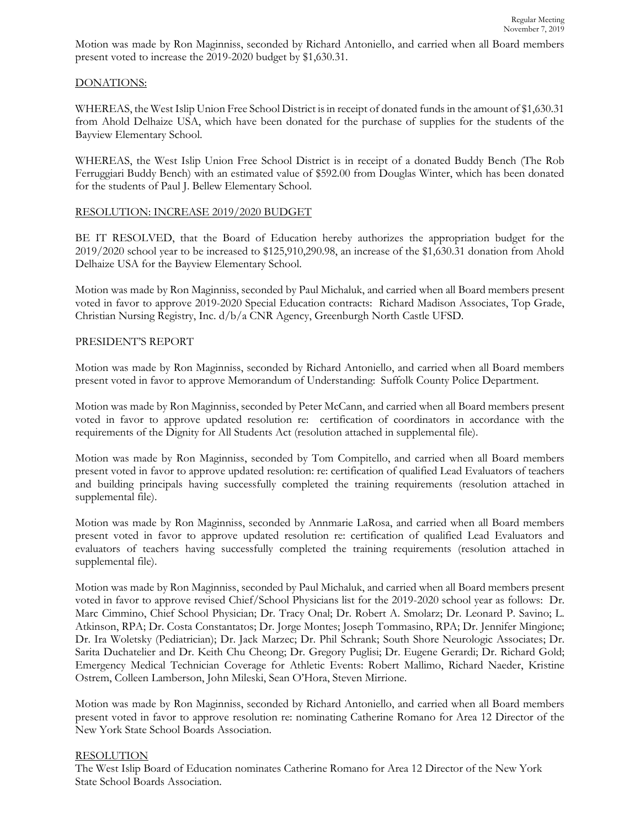Motion was made by Ron Maginniss, seconded by Richard Antoniello, and carried when all Board members present voted to increase the 2019-2020 budget by \$1,630.31.

## DONATIONS:

WHEREAS, the West Islip Union Free School District is in receipt of donated funds in the amount of \$1,630.31 from Ahold Delhaize USA, which have been donated for the purchase of supplies for the students of the Bayview Elementary School.

WHEREAS, the West Islip Union Free School District is in receipt of a donated Buddy Bench (The Rob Ferruggiari Buddy Bench) with an estimated value of \$592.00 from Douglas Winter, which has been donated for the students of Paul J. Bellew Elementary School.

## RESOLUTION: INCREASE 2019/2020 BUDGET

BE IT RESOLVED, that the Board of Education hereby authorizes the appropriation budget for the 2019/2020 school year to be increased to \$125,910,290.98, an increase of the \$1,630.31 donation from Ahold Delhaize USA for the Bayview Elementary School.

Motion was made by Ron Maginniss, seconded by Paul Michaluk, and carried when all Board members present voted in favor to approve 2019-2020 Special Education contracts: Richard Madison Associates, Top Grade, Christian Nursing Registry, Inc. d/b/a CNR Agency, Greenburgh North Castle UFSD.

## PRESIDENT'S REPORT

Motion was made by Ron Maginniss, seconded by Richard Antoniello, and carried when all Board members present voted in favor to approve Memorandum of Understanding: Suffolk County Police Department.

Motion was made by Ron Maginniss, seconded by Peter McCann, and carried when all Board members present voted in favor to approve updated resolution re: certification of coordinators in accordance with the requirements of the Dignity for All Students Act (resolution attached in supplemental file).

Motion was made by Ron Maginniss, seconded by Tom Compitello, and carried when all Board members present voted in favor to approve updated resolution: re: certification of qualified Lead Evaluators of teachers and building principals having successfully completed the training requirements (resolution attached in supplemental file).

Motion was made by Ron Maginniss, seconded by Annmarie LaRosa, and carried when all Board members present voted in favor to approve updated resolution re: certification of qualified Lead Evaluators and evaluators of teachers having successfully completed the training requirements (resolution attached in supplemental file).

Motion was made by Ron Maginniss, seconded by Paul Michaluk, and carried when all Board members present voted in favor to approve revised Chief/School Physicians list for the 2019-2020 school year as follows: Dr. Marc Cimmino, Chief School Physician; Dr. Tracy Onal; Dr. Robert A. Smolarz; Dr. Leonard P. Savino; L. Atkinson, RPA; Dr. Costa Constantatos; Dr. Jorge Montes; Joseph Tommasino, RPA; Dr. Jennifer Mingione; Dr. Ira Woletsky (Pediatrician); Dr. Jack Marzec; Dr. Phil Schrank; South Shore Neurologic Associates; Dr. Sarita Duchatelier and Dr. Keith Chu Cheong; Dr. Gregory Puglisi; Dr. Eugene Gerardi; Dr. Richard Gold; Emergency Medical Technician Coverage for Athletic Events: Robert Mallimo, Richard Naeder, Kristine Ostrem, Colleen Lamberson, John Mileski, Sean O'Hora, Steven Mirrione.

Motion was made by Ron Maginniss, seconded by Richard Antoniello, and carried when all Board members present voted in favor to approve resolution re: nominating Catherine Romano for Area 12 Director of the New York State School Boards Association.

#### RESOLUTION

The West Islip Board of Education nominates Catherine Romano for Area 12 Director of the New York State School Boards Association.